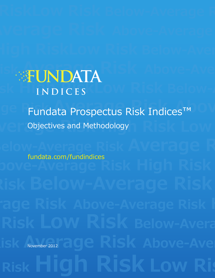## **REINDATA Risk High RiskLow Risk Below-Aver-I N D I C E S**

# **age Fundata Prospectus Risk Indices™ Average Risk Discretives and Methodology**

## **Below-Average Risk Average Risk** fundata.com/fundindices

**Risk Avenuer 2012** November 2012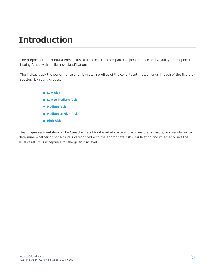### **Introduction**

The purpose of the Fundata Prospectus Risk Indices is to compare the performance and volatility of prospectusissuing funds with similar risk classifications.

The indices track the performance and risk-return profiles of the constituent mutual funds in each of the five prospectus risk rating groups:

> **Low Risk Low to Medium Risk Medium Risk Medium to High Risk High Risk**

This unique segmentation of the Canadian retail fund market space allows investors, advisors, and regulators to determine whether or not a fund is categorized with the appropriate risk classification and whether or not the level of return is acceptable for the given risk level.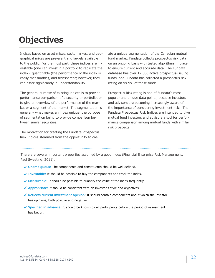### **Objectives**

Indices based on asset mixes, sector mixes, and geographical mixes are prevalent and largely available to the public. For the most part, these indices are investable (one can invest in a portfolio to replicate the index), quantifiable (the performance of the index is easily measurable), and transparent; however, they can differ significantly in understandability.

The general purpose of existing indices is to provide performance comparison of a security or portfolio, or to give an overview of the performance of the market or a segment of the market. The segmentation is generally what makes an index unique, the purpose of segmentation being to provide comparison between similar securities.

The motivation for creating the Fundata Prospectus Risk Indices stemmed from the opportunity to create a unique segmentation of the Canadian mutual fund market. Fundata collects prospectus risk data on an ongoing basis with tested algorithms in place to ensure current and accurate data. The Fundata database has over 12,300 active prospectus-issuing funds, and Fundata has collected a prospectus risk rating on 99.9% of these funds.

Prospectus Risk rating is one of Fundata's most popular and unique data points, because investors and advisors are becoming increasingly aware of the importance of considering investment risks. The Fundata Prospectus Risk Indices are intended to give mutual fund investors and advisors a tool for performance comparison among mutual funds with similar risk prospects.

There are several important properties assumed by a good index (Financial Enterprise Risk Management, Paul Sweeting, 2011):

- **Unambiguous**: The components and constituents should be well defined.
- ◆ Investable: It should be possible to buy the components and track the index.
- ◆ Measurable: It should be possible to quantify the value of the index frequently.
- ◆ Appropriate: It should be consistent with an investor's style and objectives.
- **Reflects current investment opinion**: It should contain components about which the investor has opinions, both positive and negative.
- **Specified in advance:** It should be known by all participants before the period of assessment has begun.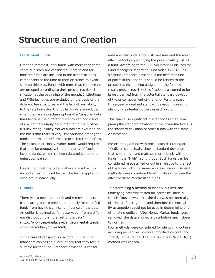### **Structure and Creation**

#### **Constituent Funds**

First and foremost, only funds with more than three years of history are considered. Merged and terminated funds are included in the historical index components at the time of their existence to avoid survivorship bias. Funds with more than three years are grouped according to their prospectus risk classification at the beginning of the month. Institutional and F-Series funds are excluded on the basis of the different fee structures and the lack of availability to the retail investor. U.S. dollar funds are excluded when they are a purchase option of a Canadian dollar fund because the different currency can add a level of risk not necessarily accounted for in the prospectus risk rating. Money Market funds are excluded on the basis that there is very little variation among the funds in terms of performance or risk-return profiles. The inclusion of Money Market funds would require that they be grouped with the majority of fixedincome funds, which has been determined to be an unjust comparison.

Funds that meet the criteria above are subject to an outlier test outlined below. The test is applied to each group individually.

#### **Outliers**

There was a need to identify and remove outliers from each group to prevent potentially misclassified funds from having significant influence on the data. An outlier is defined as "an observation from a different distribution than the rest of the data." (http://www.cee.vt.edu/ewr/environmental/teach/ smprimer/outlier/outlier.html)

In the case of prospectus risk data, mutual fund managers can assign a level of risk that they feel is suitable for the fund. Standard deviation is considered a widely understood risk measure and the most effective tool in quantifying the price volatility risk of a fund. According to the IFIC Voluntary Guidelines for Fund Managers Regarding Fund Volatility Risk Classification, standard deviation is the best measure of portfolio risk and thus should be related to the prospectus risk ranking assigned to the fund. As a result, prospectus risk classification is assumed to be largely derived from the potential standard deviation of the price movement of the fund. For this reason, three-year annualized standard deviation is used for identifying potential outliers in each group.

This can cause significant discrepancies when comparing the standard deviation of the given fund versus the standard deviation of other funds with the same classification.

For example, a fund with prospectus risk rating of "Medium" can actually show a standard deviation that is very high and matches more closely with the funds in the "High" rating group. Such funds can be considered misclassified or outliers relative to the rest of the funds with the same risk classification. Several methods were considered to eliminate or dampen the effect of these misclassified funds.

In determining a method to identify outliers, the underlying data was tested for normality. Initially the PP-Plots showed that the data was not normally distributed for all groups and therefore the normality assumption could not be used in determining and eliminating outliers. After Money Market funds were removed, the data showed a distribution much closer to normal.

Four methods were considered for identifying outliers including percentiles, Z-score, modified Z-score, and Inter-Quartile-Range. The Inter-Quartile-Range (IQR) method was chosen.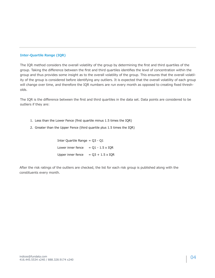#### **Inter-Quartile Range (IQR)**

The IQR method considers the overall volatility of the group by determining the first and third quartiles of the group. Taking the difference between the first and third quartiles identifies the level of concentration within the group and thus provides some insight as to the overall volatility of the group. This ensures that the overall volatility of the group is considered before identifying any outliers. It is expected that the overall volatility of each group will change over time, and therefore the IQR numbers are run every month as opposed to creating fixed thresholds.

The IQR is the difference between the first and third quartiles in the data set. Data points are considered to be outliers if they are:

- 1. Less than the Lower Fence (first quartile minus 1.5 times the IQR)
- 2. Greater than the Upper Fence (third quartile plus 1.5 times the IQR)

| Inter Quartile Range $=$ 03 - 01 |                         |
|----------------------------------|-------------------------|
| Lower inner fence                | $=$ 01 - 1.5 x IOR      |
| Upper inner fence                | $= Q3 + 1.5 \times IQR$ |

After the risk ratings of the outliers are checked, the list for each risk group is published along with the constituents every month.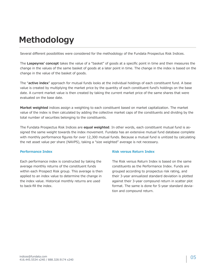### **Methodology**

Several different possibilities were considered for the methodology of the Fundata Prospectus Risk Indices.

The **Laspeyres' concept** takes the value of a "basket" of goods at a specific point in time and then measures the change in the values of the same basket of goods at a later point in time. The change in the index is based on the change in the value of the basket of goods.

The "**active index**" approach for mutual funds looks at the individual holdings of each constituent fund. A base value is created by multiplying the market price by the quantity of each constituent fund's holdings on the base date. A current market value is then created by taking the current market price of the same shares that were evaluated on the base date.

**Market weighted** indices assign a weighting to each constituent based on market capitalization. The market value of the index is then calculated by adding the collective market caps of the constituents and dividing by the total number of securities belonging to the constituents.

The Fundata Prospectus Risk Indices are **equal weighted**. In other words, each constituent mutual fund is assigned the same weight towards the index movement. Fundata has an extensive mutual fund database complete with monthly performance figures for over 12,300 mutual funds. Because a mutual fund is unitized by calculating the net asset value per share (NAVPS), taking a "size weighted" average is not necessary.

#### **Performance Index**

Each performance index is constructed by taking the average monthly returns of the constituent funds within each Prospect Risk group. This average is then applied to an index value to determine the change in the index value. Historical monthly returns are used to back-fill the index.

#### **Risk versus Return Index**

The Risk versus Return Index is based on the same constituents as the Performance Index. Funds are grouped according to prospectus risk rating, and their 3-year annualized standard deviation is plotted against their 3-year compound return in scatter plot format. The same is done for 5-year standard deviation and compound return.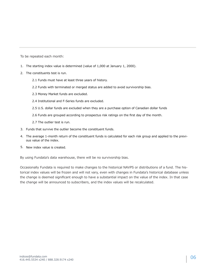To be repeated each month:

- The starting index value is determined (value of 1,000 at January 1, 2000). 1.
- 2. The constituents test is run.
	- 2.1 Funds must have at least three years of history.
	- 2.2 Funds with terminated or merged status are added to avoid survivorship bias.
	- 2.3 Money Market funds are excluded.
	- 2.4 Institutional and F-Series funds are excluded.
	- 2.5 U.S. dollar funds are excluded when they are a purchase option of Canadian dollar funds
	- 2.6 Funds are grouped according to prospectus risk ratings on the first day of the month.
	- 2.7 The outlier test is run.
- Funds that survive the outlier become the constituent funds. 3.
- 4. The average 1-month return of the constituent funds is calculated for each risk group and applied to the previous value of the index.
- 5. New index value is created.

By using Fundata's data warehouse, there will be no survivorship bias.

Occasionally Fundata is required to make changes to the historical NAVPS or distributions of a fund. The historical index values will be frozen and will not vary, even with changes in Fundata's historical database unless the change is deemed significant enough to have a substantial impact on the value of the index. In that case the change will be announced to subscribers, and the index values will be recalculated.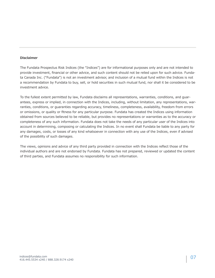#### **Disclaimer**

The Fundata Prospectus Risk Indices (the "Indices") are for informational purposes only and are not intended to provide investment, financial or other advice, and such content should not be relied upon for such advice. Fundata Canada Inc. ("Fundata") is not an investment advisor, and inclusion of a mutual fund within the Indices is not a recommendation by Fundata to buy, sell, or hold securities in such mutual fund, nor shall it be considered to be investment advice.

To the fullest extent permitted by law, Fundata disclaims all representations, warranties, conditions, and guarantees, express or implied, in connection with the Indices, including, without limitation, any representations, warranties, conditions, or guaranties regarding accuracy, timeliness, completeness, availability, freedom from errors or omissions, or quality or fitness for any particular purpose. Fundata has created the Indices using information obtained from sources believed to be reliable, but provides no representations or warranties as to the accuracy or completeness of any such information. Fundata does not take the needs of any particular user of the Indices into account in determining, composing or calculating the Indices. In no event shall Fundata be liable to any party for any damages, costs, or losses of any kind whatsoever in connection with any use of the Indices, even if advised of the possibility of such damages.

The views, opinions and advice of any third party provided in connection with the Indices reflect those of the individual authors and are not endorsed by Fundata. Fundata has not prepared, reviewed or updated the content of third parties, and Fundata assumes no responsibility for such information.